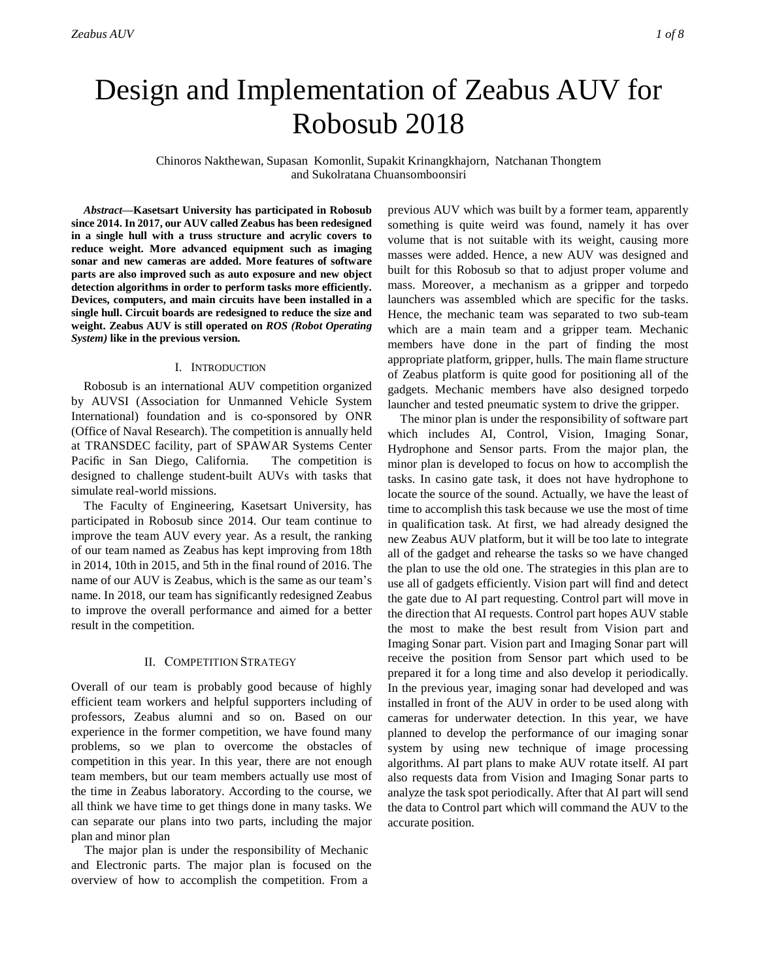# Design and Implementation of Zeabus AUV for Robosub 2018

Chinoros Nakthewan, Supasan Komonlit, Supakit Krinangkhajorn, Natchanan Thongtem and Sukolratana Chuansomboonsiri

*Abstract***—Kasetsart University has participated in Robosub since 2014. In 2017, our AUV called Zeabus has been redesigned in a single hull with a truss structure and acrylic covers to reduce weight. More advanced equipment such as imaging sonar and new cameras are added. More features of software parts are also improved such as auto exposure and new object detection algorithms in order to perform tasks more efficiently. Devices, computers, and main circuits have been installed in a single hull. Circuit boards are redesigned to reduce the size and weight. Zeabus AUV is still operated on** *ROS (Robot Operating System)* **like in the previous version.**

# I. INTRODUCTION

Robosub is an international AUV competition organized by AUVSI (Association for Unmanned Vehicle System International) foundation and is co-sponsored by ONR (Office of Naval Research). The competition is annually held at TRANSDEC facility, part of SPAWAR Systems Center Pacific in San Diego, California. The competition is designed to challenge student-built AUVs with tasks that simulate real-world missions.

The Faculty of Engineering, Kasetsart University, has participated in Robosub since 2014. Our team continue to improve the team AUV every year. As a result, the ranking of our team named as Zeabus has kept improving from 18th in 2014, 10th in 2015, and 5th in the final round of 2016. The name of our AUV is Zeabus, which is the same as our team's name. In 2018, our team has significantly redesigned Zeabus to improve the overall performance and aimed for a better result in the competition.

## II. COMPETITION STRATEGY

Overall of our team is probably good because of highly efficient team workers and helpful supporters including of professors, Zeabus alumni and so on. Based on our experience in the former competition, we have found many problems, so we plan to overcome the obstacles of competition in this year. In this year, there are not enough team members, but our team members actually use most of the time in Zeabus laboratory. According to the course, we all think we have time to get things done in many tasks. We can separate our plans into two parts, including the major plan and minor plan

The major plan is under the responsibility of Mechanic and Electronic parts. The major plan is focused on the overview of how to accomplish the competition. From a

previous AUV which was built by a former team, apparently something is quite weird was found, namely it has over volume that is not suitable with its weight, causing more masses were added. Hence, a new AUV was designed and built for this Robosub so that to adjust proper volume and mass. Moreover, a mechanism as a gripper and torpedo launchers was assembled which are specific for the tasks. Hence, the mechanic team was separated to two sub-team which are a main team and a gripper team. Mechanic members have done in the part of finding the most appropriate platform, gripper, hulls. The main flame structure of Zeabus platform is quite good for positioning all of the gadgets. Mechanic members have also designed torpedo launcher and tested pneumatic system to drive the gripper.

The minor plan is under the responsibility of software part which includes AI, Control, Vision, Imaging Sonar, Hydrophone and Sensor parts. From the major plan, the minor plan is developed to focus on how to accomplish the tasks. In casino gate task, it does not have hydrophone to locate the source of the sound. Actually, we have the least of time to accomplish this task because we use the most of time in qualification task. At first, we had already designed the new Zeabus AUV platform, but it will be too late to integrate all of the gadget and rehearse the tasks so we have changed the plan to use the old one. The strategies in this plan are to use all of gadgets efficiently. Vision part will find and detect the gate due to AI part requesting. Control part will move in the direction that AI requests. Control part hopes AUV stable the most to make the best result from Vision part and Imaging Sonar part. Vision part and Imaging Sonar part will receive the position from Sensor part which used to be prepared it for a long time and also develop it periodically. In the previous year, imaging sonar had developed and was installed in front of the AUV in order to be used along with cameras for underwater detection. In this year, we have planned to develop the performance of our imaging sonar system by using new technique of image processing algorithms. AI part plans to make AUV rotate itself. AI part also requests data from Vision and Imaging Sonar parts to analyze the task spot periodically. After that AI part will send the data to Control part which will command the AUV to the accurate position.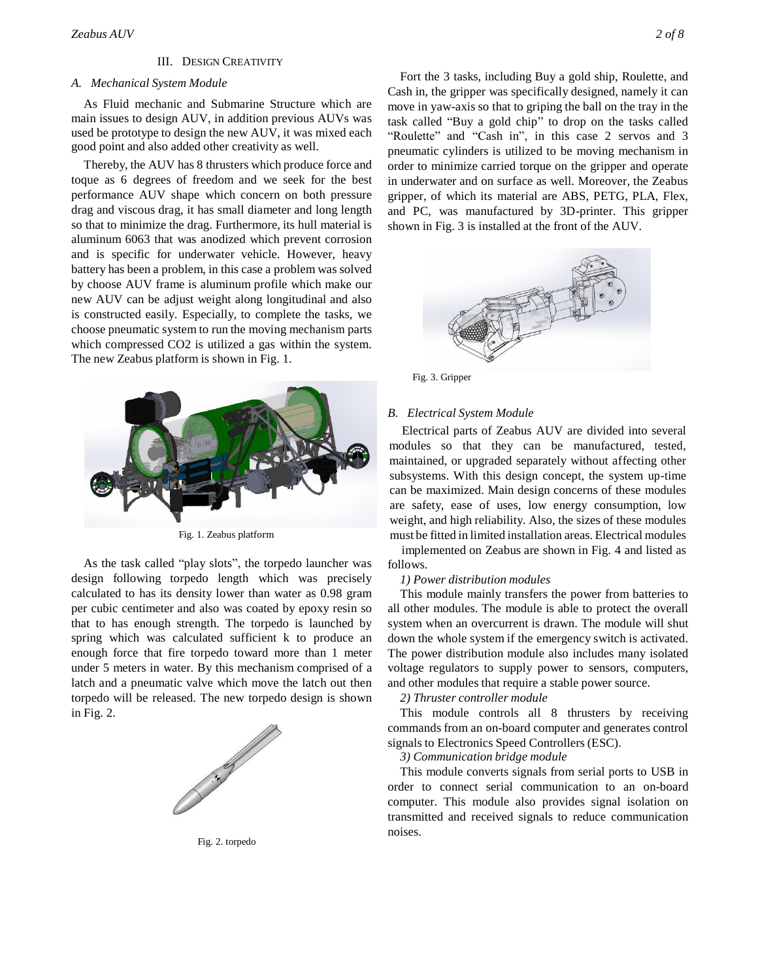# III. DESIGN CREATIVITY

# *A. Mechanical System Module*

As Fluid mechanic and Submarine Structure which are main issues to design AUV, in addition previous AUVs was used be prototype to design the new AUV, it was mixed each good point and also added other creativity as well*.*

Thereby, the AUV has 8 thrusters which produce force and toque as 6 degrees of freedom and we seek for the best performance AUV shape which concern on both pressure drag and viscous drag, it has small diameter and long length so that to minimize the drag. Furthermore, its hull material is aluminum 6063 that was anodized which prevent corrosion and is specific for underwater vehicle. However, heavy battery has been a problem, in this case a problem was solved by choose AUV frame is aluminum profile which make our new AUV can be adjust weight along longitudinal and also is constructed easily. Especially, to complete the tasks, we choose pneumatic system to run the moving mechanism parts which compressed CO2 is utilized a gas within the system. The new Zeabus platform is shown in Fig. 1.



Fig. 1. Zeabus platform

As the task called "play slots", the torpedo launcher was design following torpedo length which was precisely calculated to has its density lower than water as 0.98 gram per cubic centimeter and also was coated by epoxy resin so that to has enough strength. The torpedo is launched by spring which was calculated sufficient k to produce an enough force that fire torpedo toward more than 1 meter under 5 meters in water. By this mechanism comprised of a latch and a pneumatic valve which move the latch out then torpedo will be released. The new torpedo design is shown in Fig. 2.



Fig. 2. torpedo

Fort the 3 tasks, including Buy a gold ship, Roulette, and Cash in, the gripper was specifically designed, namely it can move in yaw-axis so that to griping the ball on the tray in the task called "Buy a gold chip" to drop on the tasks called "Roulette" and "Cash in", in this case 2 servos and 3 pneumatic cylinders is utilized to be moving mechanism in order to minimize carried torque on the gripper and operate in underwater and on surface as well. Moreover, the Zeabus gripper, of which its material are ABS, PETG, PLA, Flex, and PC, was manufactured by 3D-printer. This gripper shown in Fig. 3 is installed at the front of the AUV.



Fig. 3. Gripper

#### *B. Electrical System Module*

Electrical parts of Zeabus AUV are divided into several modules so that they can be manufactured, tested, maintained, or upgraded separately without affecting other subsystems. With this design concept, the system up-time can be maximized. Main design concerns of these modules are safety, ease of uses, low energy consumption, low weight, and high reliability. Also, the sizes of these modules must be fitted in limited installation areas. Electrical modules

implemented on Zeabus are shown in Fig. 4 and listed as follows.

#### *1) Power distribution modules*

This module mainly transfers the power from batteries to all other modules. The module is able to protect the overall system when an overcurrent is drawn. The module will shut down the whole system if the emergency switch is activated. The power distribution module also includes many isolated voltage regulators to supply power to sensors, computers, and other modules that require a stable power source.

#### *2) Thruster controller module*

This module controls all 8 thrusters by receiving commands from an on-board computer and generates control signals to Electronics Speed Controllers (ESC).

*3) Communication bridge module*

This module converts signals from serial ports to USB in order to connect serial communication to an on-board computer. This module also provides signal isolation on transmitted and received signals to reduce communication noises.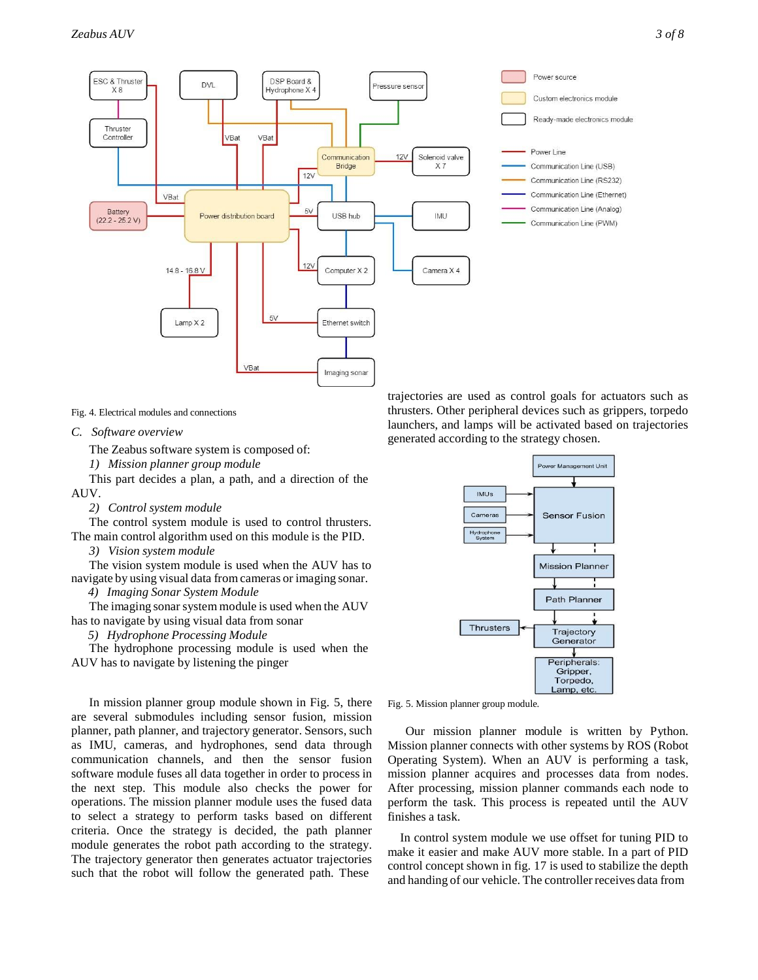

Fig. 4. Electrical modules and connections

#### *C. Software overview*

The Zeabus software system is composed of:

*1) Mission planner group module*

This part decides a plan, a path, and a direction of the AUV.

*2) Control system module*

The control system module is used to control thrusters. The main control algorithm used on this module is the PID.

*3) Vision system module*

The vision system module is used when the AUV has to navigate by using visual data fromcameras or imaging sonar.

*4) Imaging Sonar System Module*

The imaging sonar system module is used when the AUV has to navigate by using visual data from sonar

*5) Hydrophone Processing Module*

The hydrophone processing module is used when the AUV has to navigate by listening the pinger

In mission planner group module shown in Fig. 5, there are several submodules including sensor fusion, mission planner, path planner, and trajectory generator. Sensors, such as IMU, cameras, and hydrophones, send data through communication channels, and then the sensor fusion software module fuses all data together in order to process in the next step. This module also checks the power for operations. The mission planner module uses the fused data to select a strategy to perform tasks based on different criteria. Once the strategy is decided, the path planner module generates the robot path according to the strategy. The trajectory generator then generates actuator trajectories such that the robot will follow the generated path. These

trajectories are used as control goals for actuators such as thrusters. Other peripheral devices such as grippers, torpedo launchers, and lamps will be activated based on trajectories generated according to the strategy chosen.



Fig. 5. Mission planner group module.

Our mission planner module is written by Python. Mission planner connects with other systems by ROS (Robot Operating System). When an AUV is performing a task, mission planner acquires and processes data from nodes. After processing, mission planner commands each node to perform the task. This process is repeated until the AUV finishes a task.

In control system module we use offset for tuning PID to make it easier and make AUV more stable. In a part of PID control concept shown in fig. 17 is used to stabilize the depth and handing of our vehicle. The controller receives data from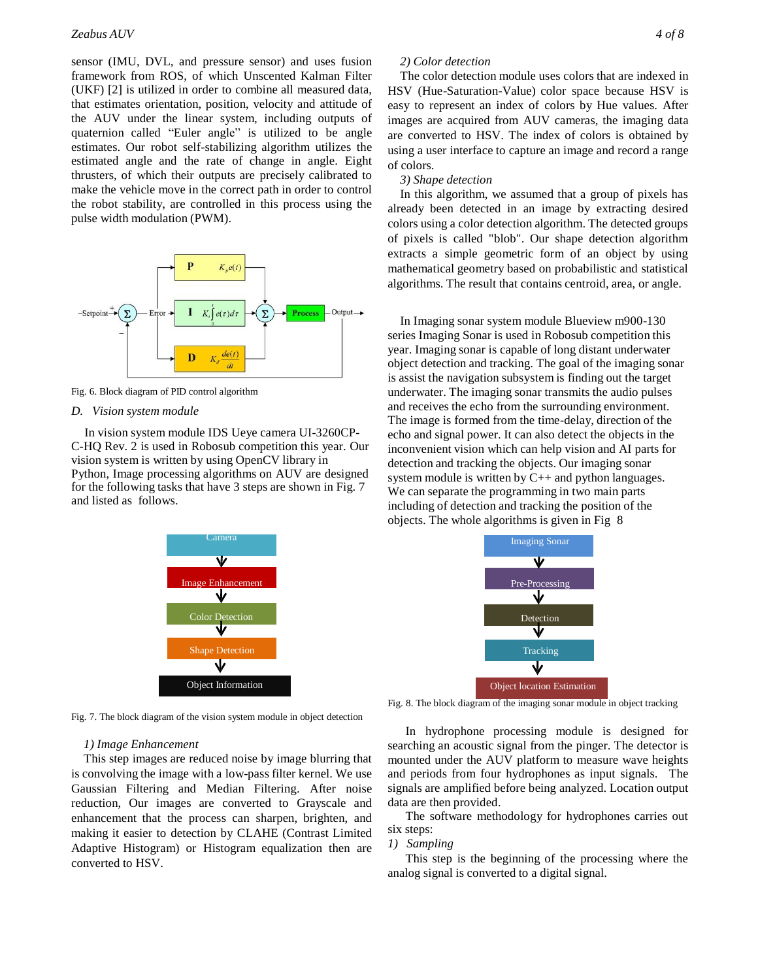sensor (IMU, DVL, and pressure sensor) and uses fusion framework from ROS, of which Unscented Kalman Filter (UKF) [2] is utilized in order to combine all measured data, that estimates orientation, position, velocity and attitude of the AUV under the linear system, including outputs of quaternion called "Euler angle" is utilized to be angle estimates. Our robot self-stabilizing algorithm utilizes the estimated angle and the rate of change in angle. Eight thrusters, of which their outputs are precisely calibrated to make the vehicle move in the correct path in order to control the robot stability, are controlled in this process using the pulse width modulation (PWM).



Fig. 6. Block diagram of PID control algorithm

#### *D. Vision system module*

In vision system module IDS Ueye camera UI-3260CP-C-HQ Rev. 2 is used in Robosub competition this year. Our vision system is written by using OpenCV library in Python, Image processing algorithms on AUV are designed for the following tasks that have 3 steps are shown in Fig. 7 and listed as follows.



Fig. 7. The block diagram of the vision system module in object detection

# *1) Image Enhancement*

This step images are reduced noise by image blurring that is convolving the image with a low-pass filter kernel. We use Gaussian Filtering and Median Filtering. After noise reduction, Our images are converted to Grayscale and enhancement that the process can sharpen, brighten, and making it easier to detection by CLAHE (Contrast Limited Adaptive Histogram) or Histogram equalization then are converted to HSV.

# *2) Color detection*

The color detection module uses colors that are indexed in HSV (Hue-Saturation-Value) color space because HSV is easy to represent an index of colors by Hue values. After images are acquired from AUV cameras, the imaging data are converted to HSV. The index of colors is obtained by using a user interface to capture an image and record a range of colors.

#### *3) Shape detection*

In this algorithm, we assumed that a group of pixels has already been detected in an image by extracting desired colors using a color detection algorithm. The detected groups of pixels is called "blob". Our shape detection algorithm extracts a simple geometric form of an object by using mathematical geometry based on probabilistic and statistical algorithms. The result that contains centroid, area, or angle.

In Imaging sonar system module Blueview m900-130 series Imaging Sonar is used in Robosub competition this year. Imaging sonar is capable of long distant underwater object detection and tracking. The goal of the imaging sonar is assist the navigation subsystem is finding out the target underwater. The imaging sonar transmits the audio pulses and receives the echo from the surrounding environment. The image is formed from the time-delay, direction of the echo and signal power. It can also detect the objects in the inconvenient vision which can help vision and AI parts for detection and tracking the objects. Our imaging sonar system module is written by C++ and python languages. We can separate the programming in two main parts including of detection and tracking the position of the objects. The whole algorithms is given in Fig 8



Fig. 8. The block diagram of the imaging sonar module in object tracking

In hydrophone processing module is designed for searching an acoustic signal from the pinger. The detector is mounted under the AUV platform to measure wave heights and periods from four hydrophones as input signals. The signals are amplified before being analyzed. Location output data are then provided.

The software methodology for hydrophones carries out six steps:

#### *1) Sampling*

This step is the beginning of the processing where the analog signal is converted to a digital signal.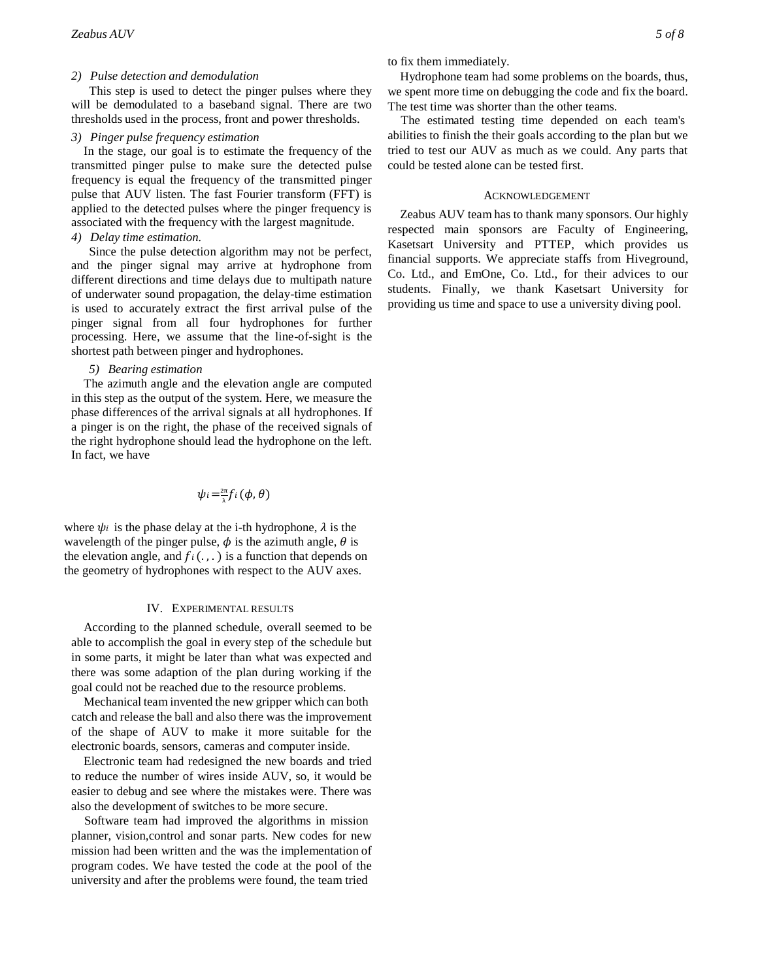# *2) Pulse detection and demodulation*

This step is used to detect the pinger pulses where they will be demodulated to a baseband signal. There are two thresholds used in the process, front and power thresholds.

# *3) Pinger pulse frequency estimation*

In the stage, our goal is to estimate the frequency of the transmitted pinger pulse to make sure the detected pulse frequency is equal the frequency of the transmitted pinger pulse that AUV listen. The fast Fourier transform (FFT) is applied to the detected pulses where the pinger frequency is associated with the frequency with the largest magnitude.

# *4) Delay time estimation.*

Since the pulse detection algorithm may not be perfect, and the pinger signal may arrive at hydrophone from different directions and time delays due to multipath nature of underwater sound propagation, the delay-time estimation is used to accurately extract the first arrival pulse of the pinger signal from all four hydrophones for further processing. Here, we assume that the line-of-sight is the shortest path between pinger and hydrophones.

# *5) Bearing estimation*

The azimuth angle and the elevation angle are computed in this step as the output of the system. Here, we measure the phase differences of the arrival signals at all hydrophones. If a pinger is on the right, the phase of the received signals of the right hydrophone should lead the hydrophone on the left. In fact, we have

$$
\psi_i = \frac{2\pi}{\lambda} f_i(\phi, \theta)
$$

where  $\psi_i$  is the phase delay at the i-th hydrophone,  $\lambda$  is the wavelength of the pinger pulse,  $\phi$  is the azimuth angle,  $\theta$  is the elevation angle, and  $f_i(., .)$  is a function that depends on the geometry of hydrophones with respect to the AUV axes.

#### IV. EXPERIMENTAL RESULTS

According to the planned schedule, overall seemed to be able to accomplish the goal in every step of the schedule but in some parts, it might be later than what was expected and there was some adaption of the plan during working if the goal could not be reached due to the resource problems.

Mechanical team invented the new gripper which can both catch and release the ball and also there was the improvement of the shape of AUV to make it more suitable for the electronic boards, sensors, cameras and computer inside.

Electronic team had redesigned the new boards and tried to reduce the number of wires inside AUV, so, it would be easier to debug and see where the mistakes were. There was also the development of switches to be more secure.

Software team had improved the algorithms in mission planner, vision,control and sonar parts. New codes for new mission had been written and the was the implementation of program codes. We have tested the code at the pool of the university and after the problems were found, the team tried

to fix them immediately.

Hydrophone team had some problems on the boards, thus, we spent more time on debugging the code and fix the board. The test time was shorter than the other teams.

The estimated testing time depended on each team's abilities to finish the their goals according to the plan but we tried to test our AUV as much as we could. Any parts that could be tested alone can be tested first.

### ACKNOWLEDGEMENT

Zeabus AUV team has to thank many sponsors. Our highly respected main sponsors are Faculty of Engineering, Kasetsart University and PTTEP, which provides us financial supports. We appreciate staffs from Hiveground, Co. Ltd., and EmOne, Co. Ltd., for their advices to our students. Finally, we thank Kasetsart University for providing us time and space to use a university diving pool.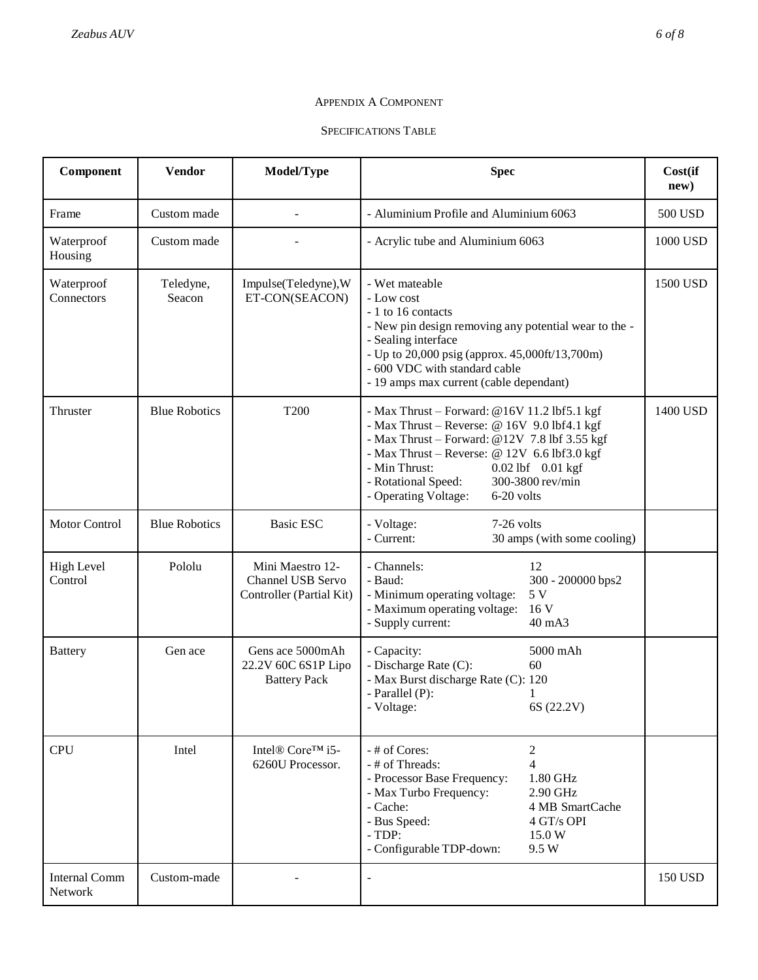# APPENDIX A COMPONENT

SPECIFICATIONS TABLE

| Component                       | <b>Vendor</b>        | Model/Type                                                        | <b>Spec</b>                                                                                                                                                                                                                                                                                                              | Cost(if<br>new) |
|---------------------------------|----------------------|-------------------------------------------------------------------|--------------------------------------------------------------------------------------------------------------------------------------------------------------------------------------------------------------------------------------------------------------------------------------------------------------------------|-----------------|
| Frame                           | Custom made          |                                                                   | - Aluminium Profile and Aluminium 6063                                                                                                                                                                                                                                                                                   | 500 USD         |
| Waterproof<br>Housing           | Custom made          |                                                                   | - Acrylic tube and Aluminium 6063                                                                                                                                                                                                                                                                                        | 1000 USD        |
| Waterproof<br>Connectors        | Teledyne,<br>Seacon  | Impulse(Teledyne), W<br>ET-CON(SEACON)                            | - Wet mateable<br>- Low cost<br>- 1 to 16 contacts<br>- New pin design removing any potential wear to the -<br>- Sealing interface<br>- Up to 20,000 psig (approx. 45,000ft/13,700m)<br>- 600 VDC with standard cable<br>- 19 amps max current (cable dependant)                                                         | 1500 USD        |
| Thruster                        | <b>Blue Robotics</b> | T <sub>200</sub>                                                  | - Max Thrust - Forward: @16V 11.2 lbf5.1 kgf<br>- Max Thrust - Reverse: $@ 16V 9.0$ lbf4.1 kgf<br>- Max Thrust - Forward: @12V 7.8 lbf 3.55 kgf<br>- Max Thrust - Reverse: $@ 12V 6.6 lbf3.0 kgf$<br>- Min Thrust:<br>0.02 lbf 0.01 kgf<br>- Rotational Speed:<br>300-3800 rev/min<br>- Operating Voltage:<br>6-20 volts | 1400 USD        |
| <b>Motor Control</b>            | <b>Blue Robotics</b> | <b>Basic ESC</b>                                                  | - Voltage:<br>7-26 volts<br>- Current:<br>30 amps (with some cooling)                                                                                                                                                                                                                                                    |                 |
| <b>High Level</b><br>Control    | Pololu               | Mini Maestro 12-<br>Channel USB Servo<br>Controller (Partial Kit) | - Channels:<br>12<br>- Baud:<br>300 - 200000 bps2<br>- Minimum operating voltage:<br>5 V<br>16 V<br>- Maximum operating voltage:<br>- Supply current:<br>40 mA3                                                                                                                                                          |                 |
| <b>Battery</b>                  | Gen ace              | Gens ace 5000mAh<br>22.2V 60C 6S1P Lipo<br><b>Battery Pack</b>    | 5000 mAh<br>- Capacity:<br>- Discharge Rate (C):<br>60<br>- Max Burst discharge Rate (C): 120<br>- Parallel (P):<br>- Voltage:<br>6S (22.2V)                                                                                                                                                                             |                 |
| <b>CPU</b>                      | Intel                | Intel <sup>®</sup> Core™ i5-<br>6260U Processor.                  | - # of Cores:<br>$\overline{c}$<br>$\overline{4}$<br>- # of Threads:<br>- Processor Base Frequency:<br>1.80 GHz<br>2.90 GHz<br>- Max Turbo Frequency:<br>- Cache:<br>4 MB SmartCache<br>- Bus Speed:<br>4 GT/s OPI<br>$-TDP:$<br>15.0 W<br>- Configurable TDP-down:<br>9.5 W                                             |                 |
| <b>Internal Comm</b><br>Network | Custom-made          |                                                                   | $\bar{\phantom{a}}$                                                                                                                                                                                                                                                                                                      | 150 USD         |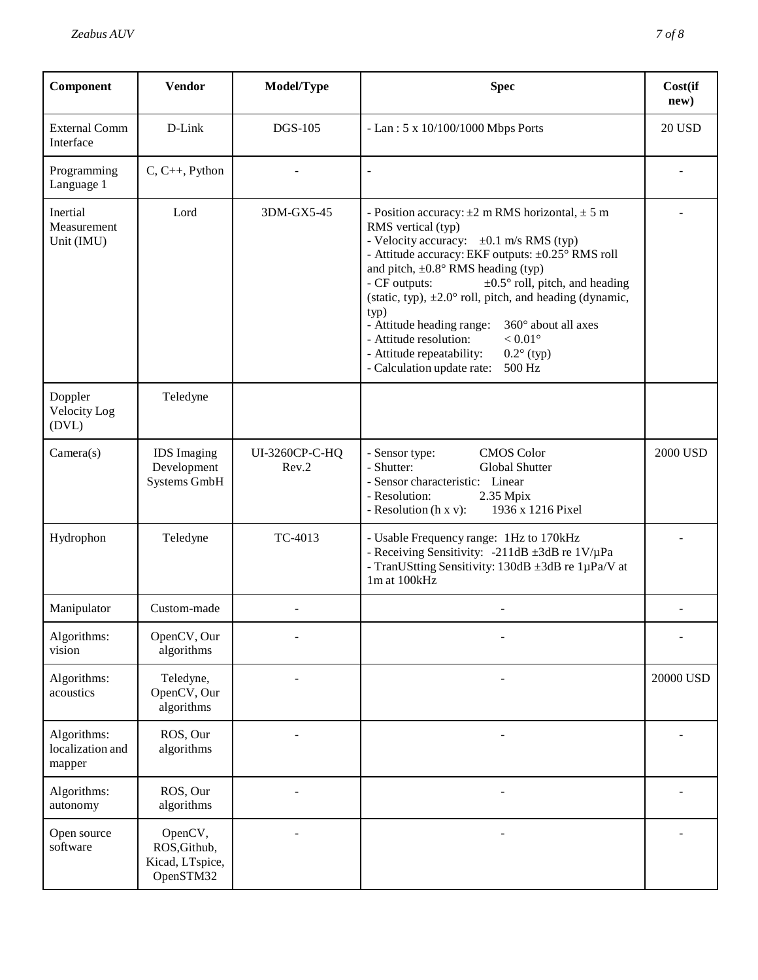| Component                                 | <b>Vendor</b>                                           | Model/Type              | <b>Spec</b>                                                                                                                                                                                                                                                                                                                                                                                                                                                                                                                                                                     | Cost(if<br>new) |
|-------------------------------------------|---------------------------------------------------------|-------------------------|---------------------------------------------------------------------------------------------------------------------------------------------------------------------------------------------------------------------------------------------------------------------------------------------------------------------------------------------------------------------------------------------------------------------------------------------------------------------------------------------------------------------------------------------------------------------------------|-----------------|
| <b>External Comm</b><br>Interface         | D-Link                                                  | <b>DGS-105</b>          | - Lan: $5 \times 10/100/1000$ Mbps Ports                                                                                                                                                                                                                                                                                                                                                                                                                                                                                                                                        | <b>20 USD</b>   |
| Programming<br>Language 1                 | $C, C++, Python$                                        |                         |                                                                                                                                                                                                                                                                                                                                                                                                                                                                                                                                                                                 |                 |
| Inertial<br>Measurement<br>Unit (IMU)     | Lord                                                    | 3DM-GX5-45              | - Position accuracy: $\pm 2$ m RMS horizontal, $\pm 5$ m<br>RMS vertical (typ)<br>- Velocity accuracy: $\pm 0.1$ m/s RMS (typ)<br>- Attitude accuracy: EKF outputs: ±0.25° RMS roll<br>and pitch, $\pm 0.8^\circ$ RMS heading (typ)<br>$\pm 0.5^{\circ}$ roll, pitch, and heading<br>- CF outputs:<br>(static, typ), $\pm 2.0^{\circ}$ roll, pitch, and heading (dynamic,<br>typ)<br>360° about all axes<br>- Attitude heading range:<br>$< 0.01^{\circ}$<br>- Attitude resolution:<br>- Attitude repeatability:<br>$0.2^{\circ}$ (typ)<br>- Calculation update rate:<br>500 Hz |                 |
| Doppler<br>Velocity Log<br>(DVL)          | Teledyne                                                |                         |                                                                                                                                                                                                                                                                                                                                                                                                                                                                                                                                                                                 |                 |
| Camera(s)                                 | <b>IDS</b> Imaging<br>Development<br>Systems GmbH       | UI-3260CP-C-HQ<br>Rev.2 | <b>CMOS</b> Color<br>- Sensor type:<br>- Shutter:<br><b>Global Shutter</b><br>- Sensor characteristic: Linear<br>- Resolution:<br>2.35 Mpix<br>1936 x 1216 Pixel<br>- Resolution $(h x v)$ :                                                                                                                                                                                                                                                                                                                                                                                    | 2000 USD        |
| Hydrophon                                 | Teledyne                                                | TC-4013                 | - Usable Frequency range: 1Hz to 170kHz<br>- Receiving Sensitivity: -211dB ±3dB re 1V/µPa<br>- TranUStting Sensitivity: 130dB ±3dB re 1µPa/V at<br>1m at 100kHz                                                                                                                                                                                                                                                                                                                                                                                                                 |                 |
| Manipulator                               | Custom-made                                             |                         |                                                                                                                                                                                                                                                                                                                                                                                                                                                                                                                                                                                 |                 |
| Algorithms:<br>vision                     | OpenCV, Our<br>algorithms                               |                         |                                                                                                                                                                                                                                                                                                                                                                                                                                                                                                                                                                                 |                 |
| Algorithms:<br>acoustics                  | Teledyne,<br>OpenCV, Our<br>algorithms                  |                         |                                                                                                                                                                                                                                                                                                                                                                                                                                                                                                                                                                                 | 20000 USD       |
| Algorithms:<br>localization and<br>mapper | ROS, Our<br>algorithms                                  |                         |                                                                                                                                                                                                                                                                                                                                                                                                                                                                                                                                                                                 |                 |
| Algorithms:<br>autonomy                   | ROS, Our<br>algorithms                                  |                         |                                                                                                                                                                                                                                                                                                                                                                                                                                                                                                                                                                                 |                 |
| Open source<br>software                   | OpenCV,<br>ROS, Github,<br>Kicad, LTspice,<br>OpenSTM32 |                         |                                                                                                                                                                                                                                                                                                                                                                                                                                                                                                                                                                                 |                 |